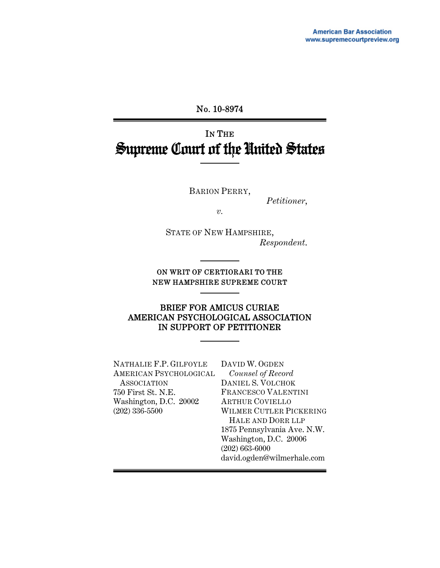### No. 10-8974

# IN THE Supreme Court of the United States

BARION PERRY,

*Petitioner*,

*v.*

STATE OF NEW HAMPSHIRE, *Respondent*.

ON WRIT OF CERTIORARI TO THE NEW HAMPSHIRE SUPREME COURT

#### BRIEF FOR AMICUS CURIAE AMERICAN PSYCHOLOGICAL ASSOCIATION IN SUPPORT OF PETITIONER

NATHALIE F.P. GILFOYLE AMERICAN PSYCHOLOGICAL ASSOCIATION 750 First St. N.E. Washington, D.C. 20002 (202) 336-5500

DAVID W. OGDEN *Counsel of Record* DANIEL S. VOLCHOK FRANCESCO VALENTINI ARTHUR COVIELLO WILMER CUTLER PICKERING HALE AND DORR LLP 1875 Pennsylvania Ave. N.W. Washington, D.C. 20006 (202) 663-6000 david.ogden@wilmerhale.com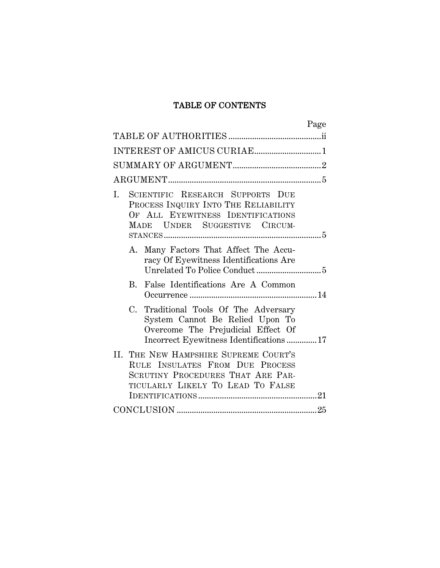# TABLE OF CONTENTS

| Page                                                                                                                                                     |  |
|----------------------------------------------------------------------------------------------------------------------------------------------------------|--|
|                                                                                                                                                          |  |
| INTEREST OF AMICUS CURIAE1                                                                                                                               |  |
|                                                                                                                                                          |  |
|                                                                                                                                                          |  |
| SCIENTIFIC RESEARCH SUPPORTS DUE<br>I.<br>PROCESS INQUIRY INTO THE RELIABILITY<br>OF ALL EYEWITNESS IDENTIFICATIONS<br>MADE UNDER SUGGESTIVE CIRCUM-     |  |
| A. Many Factors That Affect The Accu-<br>racy Of Eyewitness Identifications Are                                                                          |  |
| B. False Identifications Are A Common                                                                                                                    |  |
| C. Traditional Tools Of The Adversary<br>System Cannot Be Relied Upon To<br>Overcome The Prejudicial Effect Of<br>Incorrect Eyewitness Identifications17 |  |
| II. THE NEW HAMPSHIRE SUPREME COURT'S<br>RULE INSULATES FROM DUE PROCESS<br>SCRUTINY PROCEDURES THAT ARE PAR-<br>TICULARLY LIKELY TO LEAD TO FALSE       |  |
|                                                                                                                                                          |  |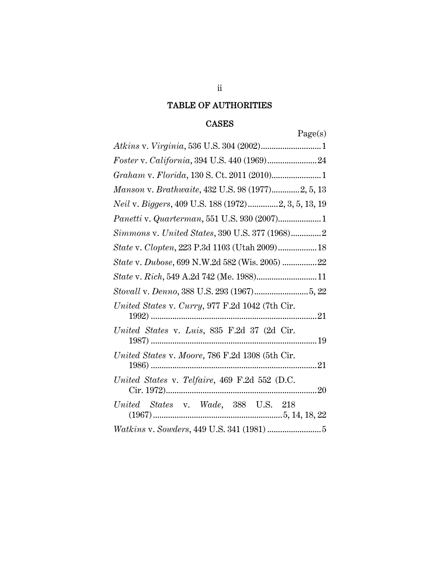# TABLE OF AUTHORITIES

### CASES

| aget. |
|-------|
|       |

| Manson v. Brathwaite, 432 U.S. 98 (1977)2, 5, 13    |
|-----------------------------------------------------|
| Neil v. Biggers, 409 U.S. 188 (1972)2, 3, 5, 13, 19 |
| Panetti v. Quarterman, 551 U.S. 930 (2007)1         |
| Simmons v. United States, 390 U.S. 377 (1968)2      |
| State v. Clopten, 223 P.3d 1103 (Utah 2009) 18      |
| State v. Dubose, 699 N.W.2d 582 (Wis. 2005) 22      |
| State v. Rich, 549 A.2d 742 (Me. 1988) 11           |
|                                                     |
| United States v. Curry, 977 F.2d 1042 (7th Cir.     |
| United States v. Luis, 835 F.2d 37 (2d Cir.         |
| United States v. Moore, 786 F.2d 1308 (5th Cir.     |
| United States v. Telfaire, 469 F.2d 552 (D.C.       |
| United States v. Wade, 388 U.S. 218                 |
|                                                     |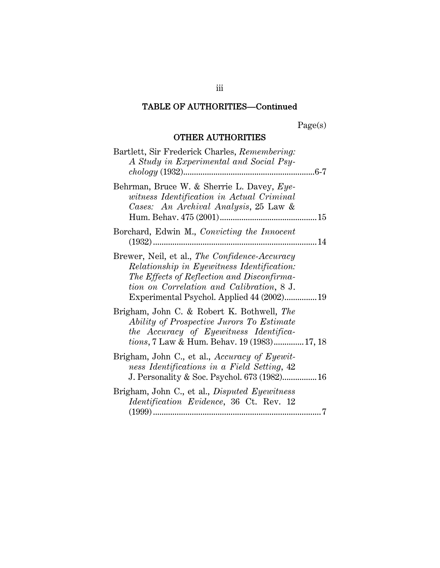Page(s)

# OTHER AUTHORITIES

| Bartlett, Sir Frederick Charles, Remembering:<br>A Study in Experimental and Social Psy-                                                                                                                                             |
|--------------------------------------------------------------------------------------------------------------------------------------------------------------------------------------------------------------------------------------|
| Behrman, Bruce W. & Sherrie L. Davey, Eye-<br>witness Identification in Actual Criminal<br>Cases: An Archival Analysis, 25 Law &                                                                                                     |
| Borchard, Edwin M., Convicting the Innocent                                                                                                                                                                                          |
| Brewer, Neil, et al., The Confidence-Accuracy<br>Relationship in Eyewitness Identification:<br>The Effects of Reflection and Disconfirma-<br>tion on Correlation and Calibration, 8 J.<br>Experimental Psychol. Applied 44 (2002) 19 |
| Brigham, John C. & Robert K. Bothwell, The<br>Ability of Prospective Jurors To Estimate<br>the Accuracy of Eyewitness Identifica-<br><i>tions</i> , 7 Law & Hum. Behav. 19 (1983) 17, 18                                             |
| Brigham, John C., et al., Accuracy of Eyewit-<br>ness Identifications in a Field Setting, 42<br>J. Personality & Soc. Psychol. 673 (1982) 16                                                                                         |
| Brigham, John C., et al., <i>Disputed Eyewitness</i><br><i>Identification Evidence</i> , 36 Ct. Rev. 12                                                                                                                              |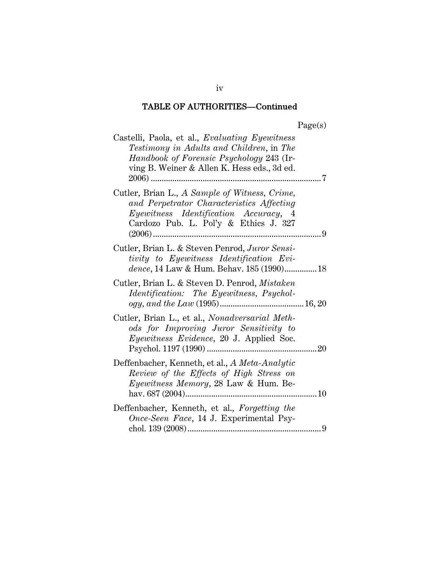| 20e<br>s |
|----------|
|----------|

| Castelli, Paola, et al., Evaluating Eyewitness<br>Testimony in Adults and Children, in The<br>Handbook of Forensic Psychology 243 (Ir-<br>ving B. Weiner & Allen K. Hess eds., 3d ed. |     |
|---------------------------------------------------------------------------------------------------------------------------------------------------------------------------------------|-----|
| Cutler, Brian L., A Sample of Witness, Crime,<br>and Perpetrator Characteristics Affecting<br>Eyewitness Identification Accuracy, 4<br>Cardozo Pub. L. Pol'y & Ethics J. 327          | . 9 |
| Cutler, Brian L. & Steven Penrod, Juror Sensi-<br>tivity to Eyewitness Identification Evi-<br>dence, 14 Law & Hum. Behav. 185 (1990)18                                                |     |
| Cutler, Brian L. & Steven D. Penrod, Mistaken<br><i>Identification:</i> The Eyewitness, Psychol-                                                                                      |     |
| Cutler, Brian L., et al., Nonadversarial Meth-<br>ods for Improving Juror Sensitivity to<br><i>Eyewitness Evidence</i> , 20 J. Applied Soc.                                           |     |
| Deffenbacher, Kenneth, et al., A Meta-Analytic<br>Review of the Effects of High Stress on<br><i>Eyewitness Memory</i> , 28 Law & Hum. Be-                                             |     |
| Deffenbacher, Kenneth, et al., Forgetting the<br>Once-Seen Face, 14 J. Experimental Psy-                                                                                              | 9   |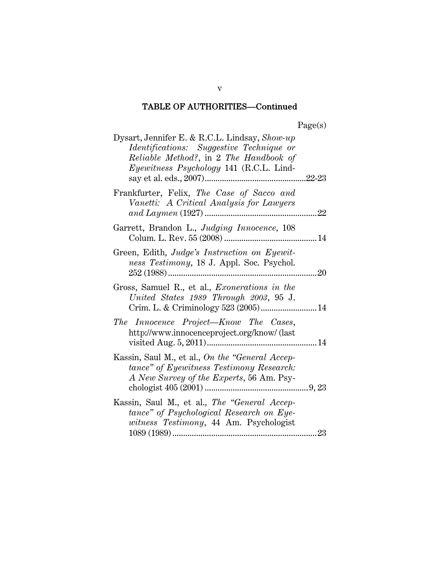| Dysart, Jennifer E. & R.C.L. Lindsay, Show-up<br>Identifications: Suggestive Technique or<br>Reliable Method?, in 2 The Handbook of<br>Eyewitness Psychology 141 (R.C.L. Lind- |  |
|--------------------------------------------------------------------------------------------------------------------------------------------------------------------------------|--|
| Frankfurter, Felix, The Case of Sacco and<br>Vanetti: A Critical Analysis for Lawyers                                                                                          |  |
| Garrett, Brandon L., Judging Innocence, 108                                                                                                                                    |  |
| Green, Edith, Judge's Instruction on Eyewit-<br>ness Testimony, 18 J. Appl. Soc. Psychol.                                                                                      |  |
| Gross, Samuel R., et al., Exonerations in the<br>United States 1989 Through 2003, 95 J.                                                                                        |  |
| The Innocence Project—Know The Cases,<br>http://www.innocenceproject.org/know/ (last                                                                                           |  |
| Kassin, Saul M., et al., On the "General Accep-<br>tance" of Eyewitness Testimony Research:<br>A New Survey of the Experts, 56 Am. Psy-                                        |  |
| Kassin, Saul M., et al., The "General Accep-<br>tance" of Psychological Research on Eye-<br>witness Testimony, 44 Am. Psychologist                                             |  |

v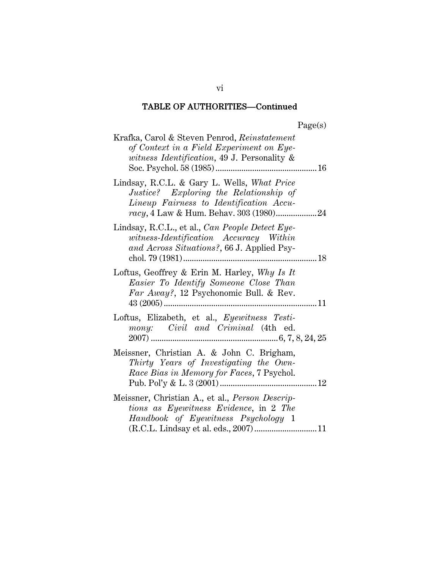| 90P<br>u |
|----------|
|----------|

| Krafka, Carol & Steven Penrod, Reinstatement<br>of Context in a Field Experiment on Eye-<br>witness Identification, 49 J. Personality &                                    |
|----------------------------------------------------------------------------------------------------------------------------------------------------------------------------|
| Lindsay, R.C.L. & Gary L. Wells, What Price<br>Justice? Exploring the Relationship of<br>Lineup Fairness to Identification Accu-                                           |
| Lindsay, R.C.L., et al., Can People Detect Eye-<br>witness-Identification Accuracy Within<br>and Across Situations?, 66 J. Applied Psy-                                    |
| Loftus, Geoffrey & Erin M. Harley, Why Is It<br>Easier To Identify Someone Close Than<br>Far Away?, 12 Psychonomic Bull. & Rev.                                            |
| Loftus, Elizabeth, et al., Eyewitness Testi-<br>mony: Civil and Criminal (4th ed.                                                                                          |
| Meissner, Christian A. & John C. Brigham,<br>Thirty Years of Investigating the Own-<br>Race Bias in Memory for Faces, 7 Psychol.                                           |
| Meissner, Christian A., et al., Person Descrip-<br>tions as Eyewitness Evidence, in 2 The<br>Handbook of Eyewitness Psychology 1<br>(R.C.L. Lindsay et al. eds., 2007)  11 |

vi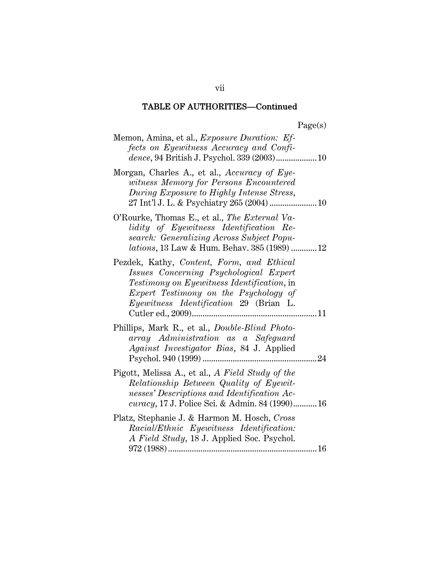| ۳ρ<br>яØ<br>J |
|---------------|
|---------------|

| Memon, Amina, et al., <i>Exposure Duration: Ef-</i><br>fects on Eyewitness Accuracy and Confi-<br>dence, 94 British J. Psychol. 339 (2003) 10                                                                                            |
|------------------------------------------------------------------------------------------------------------------------------------------------------------------------------------------------------------------------------------------|
| Morgan, Charles A., et al., Accuracy of Eye-<br>witness Memory for Persons Encountered<br>During Exposure to Highly Intense Stress,                                                                                                      |
| O'Rourke, Thomas E., et al., The External Va-<br>lidity of Eyewitness Identification Re-<br>search: Generalizing Across Subject Popu-<br>lations, 13 Law & Hum. Behav. 385 (1989)  12                                                    |
| Pezdek, Kathy, Content, Form, and Ethical<br>Issues Concerning Psychological Expert<br><i>Testimony on Eyewitness Identification,</i> in<br>Expert Testimony on the Psychology of<br><i>Eyewitness Identification 29 (Brian L.</i><br>11 |
| Phillips, Mark R., et al., <i>Double-Blind Photo-</i><br>array Administration as a Safeguard<br>Against Investigator Bias, 84 J. Applied                                                                                                 |
| Pigott, Melissa A., et al., A Field Study of the<br>Relationship Between Quality of Eyewit-<br>nesses' Descriptions and Identification Ac-<br><i>curacy</i> , 17 J. Police Sci. & Admin. 84 (1990) 16                                    |
| Platz, Stephanie J. & Harmon M. Hosch, Cross<br>Racial/Ethnic Eyewitness Identification:<br>A Field Study, 18 J. Applied Soc. Psychol.                                                                                                   |

vii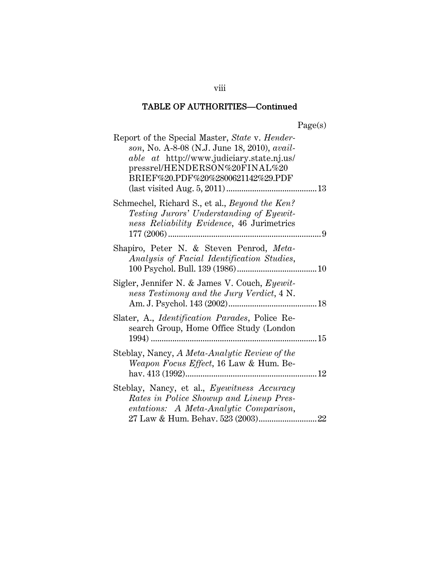| Report of the Special Master, State v. Hender-<br>son, No. A-8-08 (N.J. June 18, 2010), avail-<br>able at http://www.judiciary.state.nj.us/<br>pressrel/HENDERSON%20FINAL%20<br>BRIEF%20.PDF%20%2800621142%29.PDF |  |
|-------------------------------------------------------------------------------------------------------------------------------------------------------------------------------------------------------------------|--|
| Schmechel, Richard S., et al., <i>Beyond the Ken?</i><br>Testing Jurors' Understanding of Eyewit-<br>ness Reliability Evidence, 46 Jurimetrics                                                                    |  |
| Shapiro, Peter N. & Steven Penrod, Meta-<br>Analysis of Facial Identification Studies,                                                                                                                            |  |
| Sigler, Jennifer N. & James V. Couch, Eyewit-<br>ness Testimony and the Jury Verdict, 4 N.                                                                                                                        |  |
| Slater, A., <i>Identification Parades</i> , Police Re-<br>search Group, Home Office Study (London                                                                                                                 |  |
| Steblay, Nancy, A Meta-Analytic Review of the<br>Weapon Focus Effect, 16 Law & Hum. Be-                                                                                                                           |  |
| Steblay, Nancy, et al., Eyewitness Accuracy<br>Rates in Police Showup and Lineup Pres-<br>entations: A Meta-Analytic Comparison,                                                                                  |  |

viii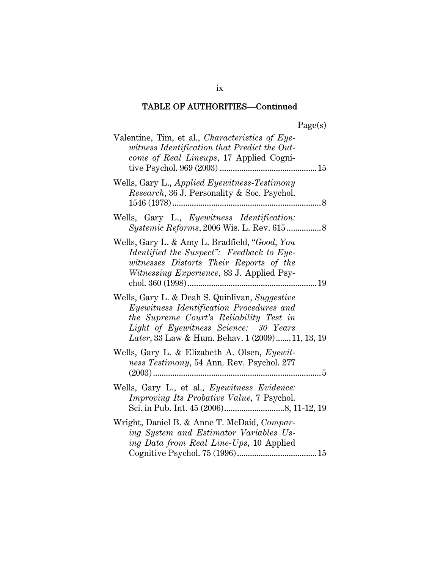| 90P<br>u |
|----------|
|----------|

| Valentine, Tim, et al., Characteristics of Eye-                                                                                                                                                                                    |
|------------------------------------------------------------------------------------------------------------------------------------------------------------------------------------------------------------------------------------|
| witness Identification that Predict the Out-                                                                                                                                                                                       |
| come of Real Lineups, 17 Applied Cogni-                                                                                                                                                                                            |
| Wells, Gary L., Applied Eyewitness-Testimony                                                                                                                                                                                       |
| <i>Research</i> , 36 J. Personality & Soc. Psychol.                                                                                                                                                                                |
| Wells, Gary L., Eyewitness Identification:<br><i>Systemic Reforms, 2006 Wis. L. Rev. 615</i> 8                                                                                                                                     |
| Wells, Gary L. & Amy L. Bradfield, "Good, You<br>Identified the Suspect": Feedback to Eye-<br>witnesses Distorts Their Reports of the<br>Witnessing Experience, 83 J. Applied Psy-                                                 |
| Wells, Gary L. & Deah S. Quinlivan, Suggestive<br>Eyewitness Identification Procedures and<br>the Supreme Court's Reliability Test in<br>Light of Eyewitness Science: 30 Years<br>Later, 33 Law & Hum. Behav. 1 (2009)  11, 13, 19 |
| Wells, Gary L. & Elizabeth A. Olsen, Eyewit-<br>ness Testimony, 54 Ann. Rev. Psychol. 277                                                                                                                                          |
| Wells, Gary L., et al., Eyewitness Evidence:<br>Improving Its Probative Value, 7 Psychol.                                                                                                                                          |
| Wright, Daniel B. & Anne T. McDaid, Compar-<br>ing System and Estimator Variables Us-<br>ing Data from Real Line-Ups, 10 Applied                                                                                                   |

ix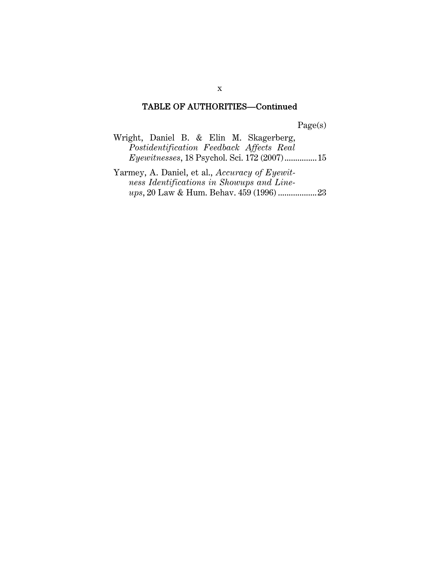Page(s)

| Wright, Daniel B. & Elin M. Skagerberg, |                                                      |  |  |  |  |
|-----------------------------------------|------------------------------------------------------|--|--|--|--|
|                                         | Postidentification Feedback Affects Real             |  |  |  |  |
|                                         | <i>Eyewitnesses</i> , 18 Psychol. Sci. 172 (2007) 15 |  |  |  |  |

Yarmey, A. Daniel, et al., *Accuracy of Eyewitness Identifications in Showups and Lineups*, 20 Law & Hum. Behav. 459 (1996) ..................23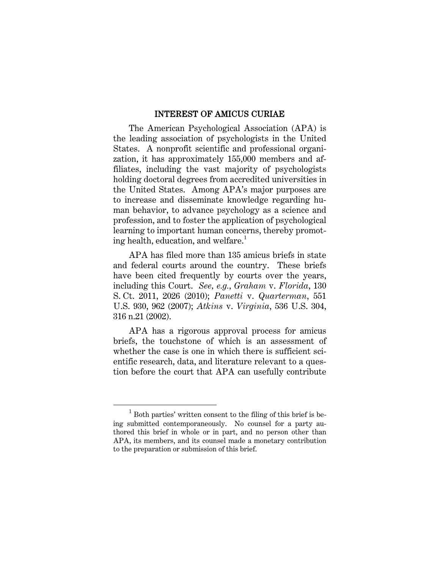#### INTEREST OF AMICUS CURIAE

The American Psychological Association (APA) is the leading association of psychologists in the United States. A nonprofit scientific and professional organization, it has approximately 155,000 members and affiliates, including the vast majority of psychologists holding doctoral degrees from accredited universities in the United States. Among APA's major purposes are to increase and disseminate knowledge regarding human behavior, to advance psychology as a science and profession, and to foster the application of psychological learning to important human concerns, thereby promoting health, education, and welfare.<sup>1</sup>

APA has filed more than 135 amicus briefs in state and federal courts around the country. These briefs have been cited frequently by courts over the years, including this Court. *See, e.g.*, *Graham* v. *Florida*, 130 S. Ct. 2011, 2026 (2010); *Panetti* v. *Quarterman*, 551 U.S. 930, 962 (2007); *Atkins* v. *Virginia*, 536 U.S. 304, 316 n.21 (2002).

APA has a rigorous approval process for amicus briefs, the touchstone of which is an assessment of whether the case is one in which there is sufficient scientific research, data, and literature relevant to a question before the court that APA can usefully contribute

 $\overline{\phantom{0}}$  $1$  Both parties' written consent to the filing of this brief is being submitted contemporaneously. No counsel for a party authored this brief in whole or in part, and no person other than APA, its members, and its counsel made a monetary contribution to the preparation or submission of this brief.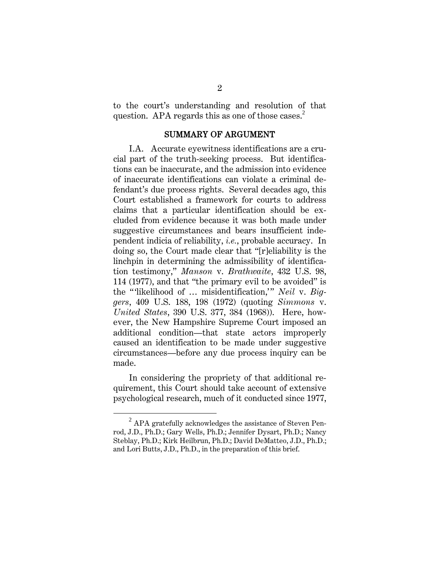to the court's understanding and resolution of that question. APA regards this as one of those cases.<sup>2</sup>

#### SUMMARY OF ARGUMENT

I.A. Accurate eyewitness identifications are a crucial part of the truth-seeking process. But identifications can be inaccurate, and the admission into evidence of inaccurate identifications can violate a criminal defendant's due process rights. Several decades ago, this Court established a framework for courts to address claims that a particular identification should be excluded from evidence because it was both made under suggestive circumstances and bears insufficient independent indicia of reliability, *i.e.*, probable accuracy. In doing so, the Court made clear that "[r]eliability is the linchpin in determining the admissibility of identification testimony," *Manson* v. *Brathwaite*, 432 U.S. 98, 114 (1977), and that "the primary evil to be avoided" is the "'likelihood of … misidentification,'" *Neil* v. *Biggers*, 409 U.S. 188, 198 (1972) (quoting *Simmons* v. *United States*, 390 U.S. 377, 384 (1968)). Here, however, the New Hampshire Supreme Court imposed an additional condition—that state actors improperly caused an identification to be made under suggestive circumstances—before any due process inquiry can be made.

In considering the propriety of that additional requirement, this Court should take account of extensive psychological research, much of it conducted since 1977,

<sup>2</sup>  $2$  APA gratefully acknowledges the assistance of Steven Penrod, J.D., Ph.D.; Gary Wells, Ph.D.; Jennifer Dysart, Ph.D.; Nancy Steblay, Ph.D.; Kirk Heilbrun, Ph.D.; David DeMatteo, J.D., Ph.D.; and Lori Butts, J.D., Ph.D., in the preparation of this brief.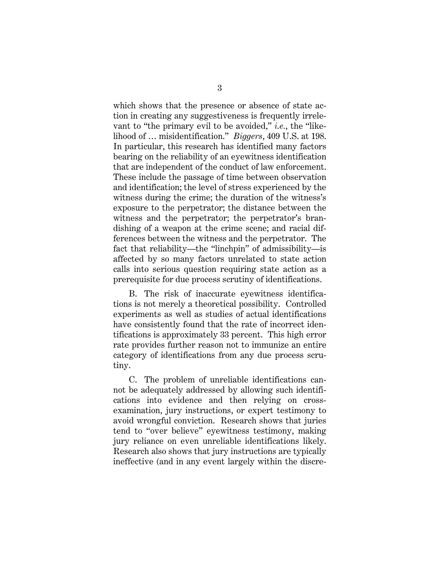which shows that the presence or absence of state action in creating any suggestiveness is frequently irrelevant to "the primary evil to be avoided," *i.e.*, the "likelihood of … misidentification." *Biggers*, 409 U.S. at 198. In particular, this research has identified many factors bearing on the reliability of an eyewitness identification that are independent of the conduct of law enforcement. These include the passage of time between observation and identification; the level of stress experienced by the witness during the crime; the duration of the witness's exposure to the perpetrator; the distance between the witness and the perpetrator; the perpetrator's brandishing of a weapon at the crime scene; and racial differences between the witness and the perpetrator. The fact that reliability—the "linchpin" of admissibility—is affected by so many factors unrelated to state action calls into serious question requiring state action as a prerequisite for due process scrutiny of identifications.

B. The risk of inaccurate eyewitness identifications is not merely a theoretical possibility. Controlled experiments as well as studies of actual identifications have consistently found that the rate of incorrect identifications is approximately 33 percent. This high error rate provides further reason not to immunize an entire category of identifications from any due process scrutiny.

C. The problem of unreliable identifications cannot be adequately addressed by allowing such identifications into evidence and then relying on crossexamination, jury instructions, or expert testimony to avoid wrongful conviction. Research shows that juries tend to "over believe" eyewitness testimony, making jury reliance on even unreliable identifications likely. Research also shows that jury instructions are typically ineffective (and in any event largely within the discre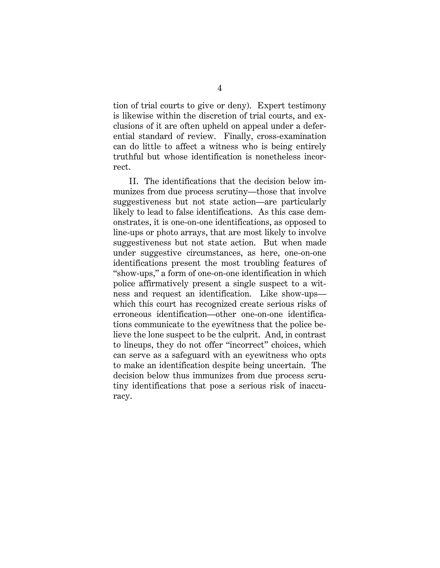tion of trial courts to give or deny). Expert testimony is likewise within the discretion of trial courts, and exclusions of it are often upheld on appeal under a deferential standard of review. Finally, cross-examination can do little to affect a witness who is being entirely truthful but whose identification is nonetheless incorrect.

II. The identifications that the decision below immunizes from due process scrutiny—those that involve suggestiveness but not state action—are particularly likely to lead to false identifications. As this case demonstrates, it is one-on-one identifications, as opposed to line-ups or photo arrays, that are most likely to involve suggestiveness but not state action. But when made under suggestive circumstances, as here, one-on-one identifications present the most troubling features of "show-ups," a form of one-on-one identification in which police affirmatively present a single suspect to a witness and request an identification. Like show-ups which this court has recognized create serious risks of erroneous identification—other one-on-one identifications communicate to the eyewitness that the police believe the lone suspect to be the culprit. And, in contrast to lineups, they do not offer "incorrect" choices, which can serve as a safeguard with an eyewitness who opts to make an identification despite being uncertain. The decision below thus immunizes from due process scrutiny identifications that pose a serious risk of inaccuracy.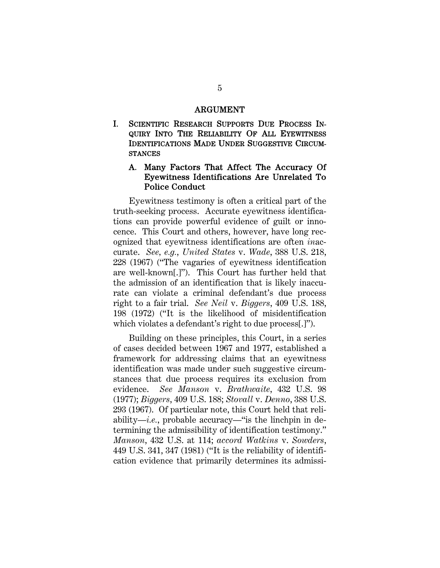#### ARGUMENT

I. SCIENTIFIC RESEARCH SUPPORTS DUE PROCESS IN-QUIRY INTO THE RELIABILITY OF ALL EYEWITNESS IDENTIFICATIONS MADE UNDER SUGGESTIVE CIRCUM-**STANCES** 

#### A. Many Factors That Affect The Accuracy Of Eyewitness Identifications Are Unrelated To Police Conduct

Eyewitness testimony is often a critical part of the truth-seeking process. Accurate eyewitness identifications can provide powerful evidence of guilt or innocence. This Court and others, however, have long recognized that eyewitness identifications are often *in*accurate. *See, e.g.*, *United States* v. *Wade*, 388 U.S. 218, 228 (1967) ("The vagaries of eyewitness identification are well-known[.]"). This Court has further held that the admission of an identification that is likely inaccurate can violate a criminal defendant's due process right to a fair trial. *See Neil* v. *Biggers*, 409 U.S. 188, 198 (1972) ("It is the likelihood of misidentification which violates a defendant's right to due process[.]").

Building on these principles, this Court, in a series of cases decided between 1967 and 1977, established a framework for addressing claims that an eyewitness identification was made under such suggestive circumstances that due process requires its exclusion from evidence. *See Manson* v. *Brathwaite*, 432 U.S. 98 (1977); *Biggers*, 409 U.S. 188; *Stovall* v. *Denno*, 388 U.S. 293 (1967). Of particular note, this Court held that reliability—*i.e.*, probable accuracy—"is the linchpin in determining the admissibility of identification testimony." *Manson*, 432 U.S. at 114; *accord Watkins* v. *Sowders*, 449 U.S. 341, 347 (1981) ("It is the reliability of identification evidence that primarily determines its admissi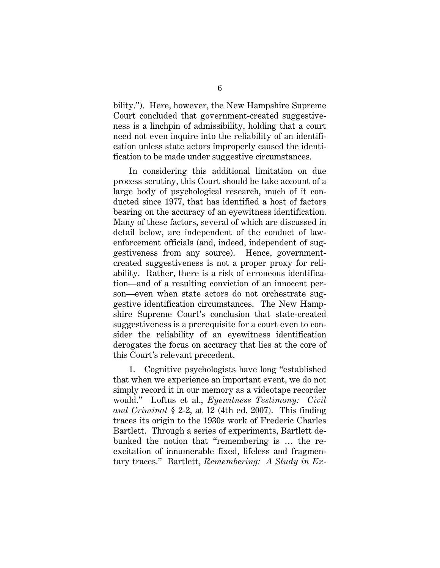bility."). Here, however, the New Hampshire Supreme Court concluded that government-created suggestiveness is a linchpin of admissibility, holding that a court need not even inquire into the reliability of an identification unless state actors improperly caused the identification to be made under suggestive circumstances.

In considering this additional limitation on due process scrutiny, this Court should be take account of a large body of psychological research, much of it conducted since 1977, that has identified a host of factors bearing on the accuracy of an eyewitness identification. Many of these factors, several of which are discussed in detail below, are independent of the conduct of lawenforcement officials (and, indeed, independent of suggestiveness from any source). Hence, governmentcreated suggestiveness is not a proper proxy for reliability. Rather, there is a risk of erroneous identification—and of a resulting conviction of an innocent person—even when state actors do not orchestrate suggestive identification circumstances. The New Hampshire Supreme Court's conclusion that state-created suggestiveness is a prerequisite for a court even to consider the reliability of an eyewitness identification derogates the focus on accuracy that lies at the core of this Court's relevant precedent.

1. Cognitive psychologists have long "established that when we experience an important event, we do not simply record it in our memory as a videotape recorder would." Loftus et al., *Eyewitness Testimony: Civil and Criminal* § 2-2, at 12 (4th ed. 2007). This finding traces its origin to the 1930s work of Frederic Charles Bartlett. Through a series of experiments, Bartlett debunked the notion that "remembering is … the reexcitation of innumerable fixed, lifeless and fragmentary traces." Bartlett, *Remembering: A Study in Ex-*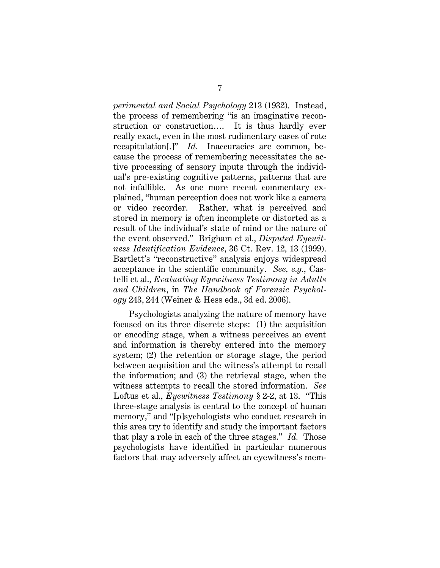*perimental and Social Psychology* 213 (1932). Instead, the process of remembering "is an imaginative reconstruction or construction…. It is thus hardly ever really exact, even in the most rudimentary cases of rote recapitulation[.]" *Id.* Inaccuracies are common, because the process of remembering necessitates the active processing of sensory inputs through the individual's pre-existing cognitive patterns, patterns that are not infallible. As one more recent commentary explained, "human perception does not work like a camera or video recorder. Rather, what is perceived and stored in memory is often incomplete or distorted as a result of the individual's state of mind or the nature of the event observed." Brigham et al., *Disputed Eyewitness Identification Evidence*, 36 Ct. Rev. 12, 13 (1999). Bartlett's "reconstructive" analysis enjoys widespread acceptance in the scientific community. *See, e.g.*, Castelli et al., *Evaluating Eyewitness Testimony in Adults and Children*, in *The Handbook of Forensic Psychology* 243, 244 (Weiner & Hess eds., 3d ed. 2006).

Psychologists analyzing the nature of memory have focused on its three discrete steps: (1) the acquisition or encoding stage, when a witness perceives an event and information is thereby entered into the memory system; (2) the retention or storage stage, the period between acquisition and the witness's attempt to recall the information; and (3) the retrieval stage, when the witness attempts to recall the stored information. *See* Loftus et al., *Eyewitness Testimony* § 2-2, at 13. "This three-stage analysis is central to the concept of human memory," and "[p]sychologists who conduct research in this area try to identify and study the important factors that play a role in each of the three stages." *Id.* Those psychologists have identified in particular numerous factors that may adversely affect an eyewitness's mem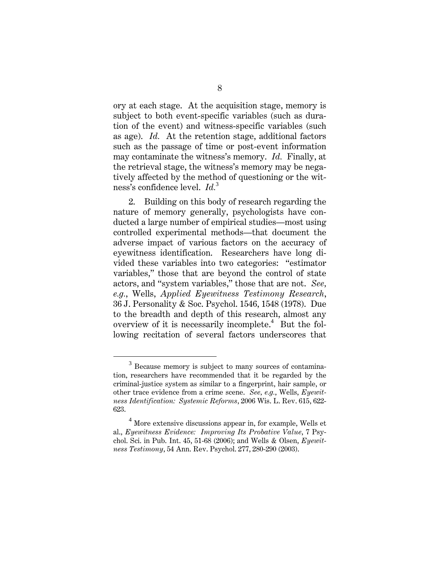ory at each stage. At the acquisition stage, memory is subject to both event-specific variables (such as duration of the event) and witness-specific variables (such as age). *Id.* At the retention stage, additional factors such as the passage of time or post-event information may contaminate the witness's memory. *Id.* Finally, at the retrieval stage, the witness's memory may be negatively affected by the method of questioning or the witness's confidence level. *Id.*<sup>3</sup>

2. Building on this body of research regarding the nature of memory generally, psychologists have conducted a large number of empirical studies—most using controlled experimental methods—that document the adverse impact of various factors on the accuracy of eyewitness identification. Researchers have long divided these variables into two categories: "estimator variables," those that are beyond the control of state actors, and "system variables," those that are not. *See, e.g.*, Wells, *Applied Eyewitness Testimony Research*, 36 J. Personality & Soc. Psychol. 1546, 1548 (1978). Due to the breadth and depth of this research, almost any overview of it is necessarily incomplete.<sup>4</sup> But the following recitation of several factors underscores that

 $\overline{\phantom{0}3}$  $3$  Because memory is subject to many sources of contamination, researchers have recommended that it be regarded by the criminal-justice system as similar to a fingerprint, hair sample, or other trace evidence from a crime scene. *See, e.g.*, Wells, *Eyewitness Identification: Systemic Reforms*, 2006 Wis. L. Rev. 615, 622- 623.

<sup>&</sup>lt;sup>4</sup> More extensive discussions appear in, for example, Wells et al., *Eyewitness Evidence: Improving Its Probative Value*, 7 Psychol. Sci. in Pub. Int. 45, 51-68 (2006); and Wells & Olsen, *Eyewitness Testimony*, 54 Ann. Rev. Psychol. 277, 280-290 (2003).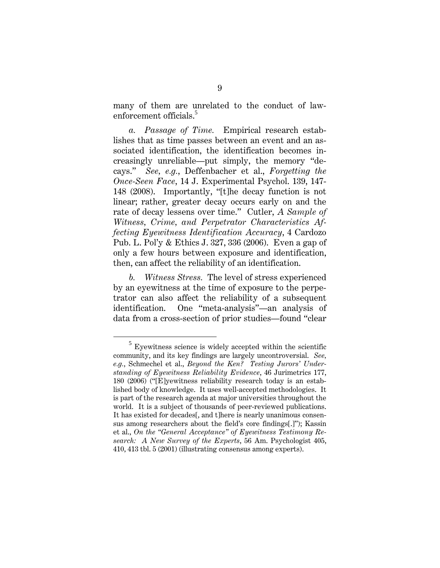many of them are unrelated to the conduct of lawenforcement officials.<sup>5</sup>

*a. Passage of Time.* Empirical research establishes that as time passes between an event and an associated identification, the identification becomes increasingly unreliable—put simply, the memory "decays." *See, e.g.*, Deffenbacher et al., *Forgetting the Once-Seen Face*, 14 J. Experimental Psychol. 139, 147- 148 (2008). Importantly, "[t]he decay function is not linear; rather, greater decay occurs early on and the rate of decay lessens over time." Cutler, *A Sample of Witness, Crime, and Perpetrator Characteristics Affecting Eyewitness Identification Accuracy*, 4 Cardozo Pub. L. Pol'y & Ethics J. 327, 336 (2006). Even a gap of only a few hours between exposure and identification, then, can affect the reliability of an identification.

*b. Witness Stress.* The level of stress experienced by an eyewitness at the time of exposure to the perpetrator can also affect the reliability of a subsequent identification. One "meta-analysis"—an analysis of data from a cross-section of prior studies—found "clear

 $\frac{1}{5}$  $5$  Eyewitness science is widely accepted within the scientific community, and its key findings are largely uncontroversial. *See, e.g.*, Schmechel et al., *Beyond the Ken? Testing Jurors' Understanding of Eyewitness Reliability Evidence*, 46 Jurimetrics 177, 180 (2006) ("[E]yewitness reliability research today is an established body of knowledge. It uses well-accepted methodologies. It is part of the research agenda at major universities throughout the world. It is a subject of thousands of peer-reviewed publications. It has existed for decades[, and t]here is nearly unanimous consensus among researchers about the field's core findings[.]"); Kassin et al., *On the "General Acceptance" of Eyewitness Testimony Research: A New Survey of the Experts*, 56 Am. Psychologist 405, 410, 413 tbl. 5 (2001) (illustrating consensus among experts).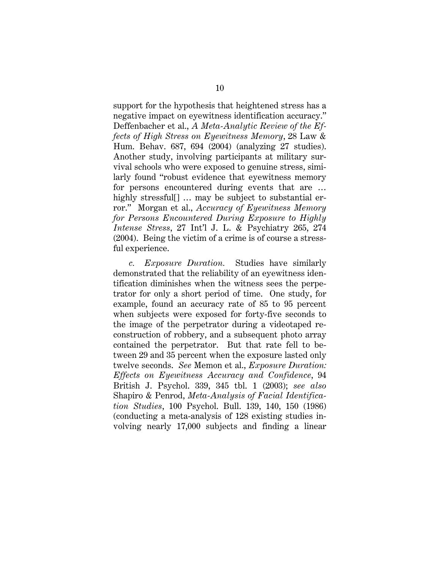support for the hypothesis that heightened stress has a negative impact on eyewitness identification accuracy." Deffenbacher et al., *A Meta-Analytic Review of the Effects of High Stress on Eyewitness Memory*, 28 Law & Hum. Behav. 687, 694 (2004) (analyzing 27 studies). Another study, involving participants at military survival schools who were exposed to genuine stress, similarly found "robust evidence that eyewitness memory for persons encountered during events that are … highly stressful<sup>[]</sup> ... may be subject to substantial error." Morgan et al., *Accuracy of Eyewitness Memory for Persons Encountered During Exposure to Highly Intense Stress*, 27 Int'l J. L. & Psychiatry 265, 274 (2004). Being the victim of a crime is of course a stressful experience.

*c. Exposure Duration.* Studies have similarly demonstrated that the reliability of an eyewitness identification diminishes when the witness sees the perpetrator for only a short period of time. One study, for example, found an accuracy rate of 85 to 95 percent when subjects were exposed for forty-five seconds to the image of the perpetrator during a videotaped reconstruction of robbery, and a subsequent photo array contained the perpetrator. But that rate fell to between 29 and 35 percent when the exposure lasted only twelve seconds. *See* Memon et al., *Exposure Duration: Effects on Eyewitness Accuracy and Confidence*, 94 British J. Psychol. 339, 345 tbl. 1 (2003); *see also* Shapiro & Penrod, *Meta-Analysis of Facial Identification Studies*, 100 Psychol. Bull. 139, 140, 150 (1986) (conducting a meta-analysis of 128 existing studies involving nearly 17,000 subjects and finding a linear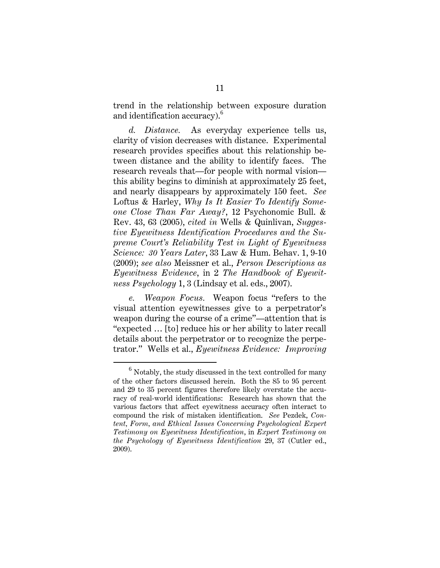trend in the relationship between exposure duration and identification accuracy).<sup>6</sup>

*d. Distance.* As everyday experience tells us, clarity of vision decreases with distance. Experimental research provides specifics about this relationship between distance and the ability to identify faces. The research reveals that—for people with normal vision this ability begins to diminish at approximately 25 feet, and nearly disappears by approximately 150 feet. *See* Loftus & Harley, *Why Is It Easier To Identify Someone Close Than Far Away?*, 12 Psychonomic Bull. & Rev. 43, 63 (2005), *cited in* Wells & Quinlivan, *Suggestive Eyewitness Identification Procedures and the Supreme Court's Reliability Test in Light of Eyewitness Science: 30 Years Later*, 33 Law & Hum. Behav. 1, 9-10 (2009); *see also* Meissner et al., *Person Descriptions as Eyewitness Evidence*, in 2 *The Handbook of Eyewitness Psychology* 1, 3 (Lindsay et al. eds., 2007).

*e. Weapon Focus.* Weapon focus "refers to the visual attention eyewitnesses give to a perpetrator's weapon during the course of a crime"—attention that is "expected … [to] reduce his or her ability to later recall details about the perpetrator or to recognize the perpetrator." Wells et al., *Eyewitness Evidence: Improving* 

 $\overline{\phantom{0}}$  $6$  Notably, the study discussed in the text controlled for many of the other factors discussed herein. Both the 85 to 95 percent and 29 to 35 percent figures therefore likely overstate the accuracy of real-world identifications: Research has shown that the various factors that affect eyewitness accuracy often interact to compound the risk of mistaken identification. *See* Pezdek, *Content, Form, and Ethical Issues Concerning Psychological Expert Testimony on Eyewitness Identification*, in *Expert Testimony on the Psychology of Eyewitness Identification* 29, 37 (Cutler ed., 2009).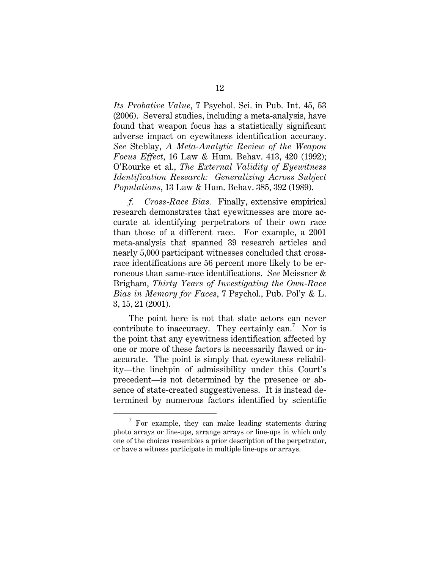*Its Probative Value*, 7 Psychol. Sci. in Pub. Int. 45, 53 (2006). Several studies, including a meta-analysis, have found that weapon focus has a statistically significant adverse impact on eyewitness identification accuracy. *See* Steblay, *A Meta-Analytic Review of the Weapon Focus Effect*, 16 Law & Hum. Behav. 413, 420 (1992); O'Rourke et al., *The External Validity of Eyewitness Identification Research: Generalizing Across Subject Populations*, 13 Law & Hum. Behav. 385, 392 (1989).

*f. Cross-Race Bias.* Finally, extensive empirical research demonstrates that eyewitnesses are more accurate at identifying perpetrators of their own race than those of a different race. For example, a 2001 meta-analysis that spanned 39 research articles and nearly 5,000 participant witnesses concluded that crossrace identifications are 56 percent more likely to be erroneous than same-race identifications. *See* Meissner & Brigham, *Thirty Years of Investigating the Own-Race Bias in Memory for Faces*, 7 Psychol., Pub. Pol'y & L. 3, 15, 21 (2001).

The point here is not that state actors can never contribute to inaccuracy. They certainly can.<sup>7</sup> Nor is the point that any eyewitness identification affected by one or more of these factors is necessarily flawed or inaccurate. The point is simply that eyewitness reliability—the linchpin of admissibility under this Court's precedent—is not determined by the presence or absence of state-created suggestiveness. It is instead determined by numerous factors identified by scientific

 $\overline{7}$  $\frac{7}{7}$  For example, they can make leading statements during photo arrays or line-ups, arrange arrays or line-ups in which only one of the choices resembles a prior description of the perpetrator, or have a witness participate in multiple line-ups or arrays.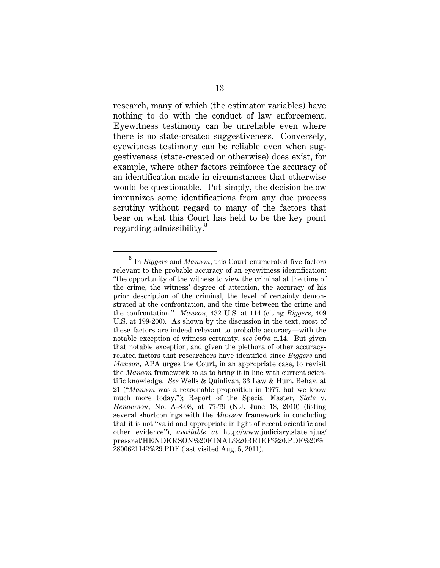research, many of which (the estimator variables) have nothing to do with the conduct of law enforcement. Eyewitness testimony can be unreliable even where there is no state-created suggestiveness. Conversely, eyewitness testimony can be reliable even when suggestiveness (state-created or otherwise) does exist, for example, where other factors reinforce the accuracy of an identification made in circumstances that otherwise would be questionable. Put simply, the decision below immunizes some identifications from any due process scrutiny without regard to many of the factors that bear on what this Court has held to be the key point regarding admissibility.<sup>8</sup>

<sup>8</sup> In *Biggers* and *Manson*, this Court enumerated five factors relevant to the probable accuracy of an eyewitness identification: "the opportunity of the witness to view the criminal at the time of the crime, the witness' degree of attention, the accuracy of his prior description of the criminal, the level of certainty demonstrated at the confrontation, and the time between the crime and the confrontation." *Manson*, 432 U.S. at 114 (citing *Biggers*, 409 U.S. at 199-200). As shown by the discussion in the text, most of these factors are indeed relevant to probable accuracy—with the notable exception of witness certainty, *see infra* n.14. But given that notable exception, and given the plethora of other accuracyrelated factors that researchers have identified since *Biggers* and *Manson*, APA urges the Court, in an appropriate case, to revisit the *Manson* framework so as to bring it in line with current scientific knowledge. *See* Wells & Quinlivan, 33 Law & Hum. Behav. at 21 ("*Manson* was a reasonable proposition in 1977, but we know much more today."); Report of the Special Master, *State* v. *Henderson*, No. A-8-08, at 77-79 (N.J. June 18, 2010) (listing several shortcomings with the *Manson* framework in concluding that it is not "valid and appropriate in light of recent scientific and other evidence"), *available at* http://www.judiciary.state.nj.us/ pressrel/HENDERSON%20FINAL%20BRIEF%20.PDF%20% 2800621142%29.PDF (last visited Aug. 5, 2011).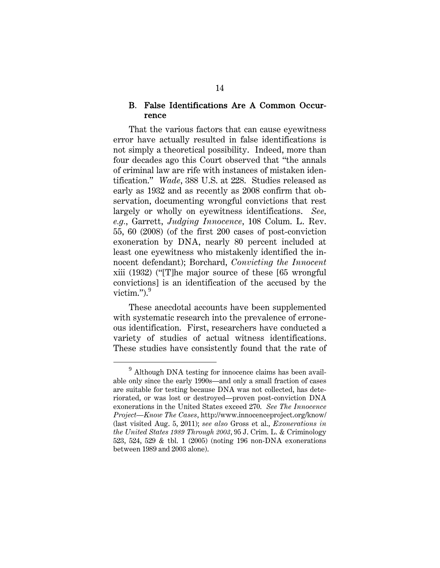#### B. False Identifications Are A Common Occurrence

That the various factors that can cause eyewitness error have actually resulted in false identifications is not simply a theoretical possibility. Indeed, more than four decades ago this Court observed that "the annals of criminal law are rife with instances of mistaken identification." *Wade*, 388 U.S. at 228. Studies released as early as 1932 and as recently as 2008 confirm that observation, documenting wrongful convictions that rest largely or wholly on eyewitness identifications. *See, e.g.*, Garrett, *Judging Innocence*, 108 Colum. L. Rev. 55, 60 (2008) (of the first 200 cases of post-conviction exoneration by DNA, nearly 80 percent included at least one eyewitness who mistakenly identified the innocent defendant); Borchard, *Convicting the Innocent* xiii (1932) ("[T]he major source of these [65 wrongful convictions] is an identification of the accused by the victim." $)^9$ 

These anecdotal accounts have been supplemented with systematic research into the prevalence of erroneous identification. First, researchers have conducted a variety of studies of actual witness identifications. These studies have consistently found that the rate of

<sup>9</sup> Although DNA testing for innocence claims has been available only since the early 1990s—and only a small fraction of cases are suitable for testing because DNA was not collected, has deteriorated, or was lost or destroyed—proven post-conviction DNA exonerations in the United States exceed 270. *See The Innocence Project—Know The Cases*, http://www.innocenceproject.org/know/ (last visited Aug. 5, 2011); *see also* Gross et al., *Exonerations in the United States 1989 Through 2003*, 95 J. Crim. L. & Criminology 523, 524, 529 & tbl. 1 (2005) (noting 196 non-DNA exonerations between 1989 and 2003 alone).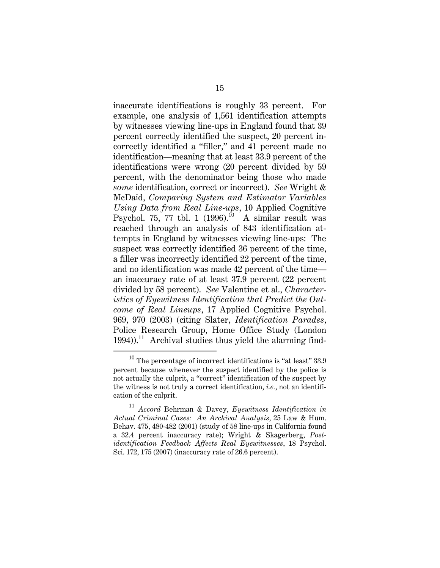inaccurate identifications is roughly 33 percent. For example, one analysis of 1,561 identification attempts by witnesses viewing line-ups in England found that 39 percent correctly identified the suspect, 20 percent incorrectly identified a "filler," and 41 percent made no identification—meaning that at least 33.9 percent of the identifications were wrong (20 percent divided by 59 percent, with the denominator being those who made *some* identification, correct or incorrect). *See* Wright & McDaid, *Comparing System and Estimator Variables Using Data from Real Line-ups*, 10 Applied Cognitive Psychol. 75, 77 tbl. 1  $(1996).^{10}$  A similar result was reached through an analysis of 843 identification attempts in England by witnesses viewing line-ups: The suspect was correctly identified 36 percent of the time, a filler was incorrectly identified 22 percent of the time, and no identification was made 42 percent of the time an inaccuracy rate of at least 37.9 percent (22 percent divided by 58 percent). *See* Valentine et al., *Characteristics of Eyewitness Identification that Predict the Outcome of Real Lineups*, 17 Applied Cognitive Psychol. 969, 970 (2003) (citing Slater, *Identification Parades*, Police Research Group, Home Office Study (London  $1994)$ ).<sup>11</sup> Archival studies thus yield the alarming find-

 $^{\rm 10}$  The percentage of incorrect identifications is "at least"  $33.9$ percent because whenever the suspect identified by the police is not actually the culprit, a "correct" identification of the suspect by the witness is not truly a correct identification, *i.e.*, not an identification of the culprit.

<sup>11</sup> *Accord* Behrman & Davey, *Eyewitness Identification in Actual Criminal Cases: An Archival Analysis*, 25 Law & Hum. Behav. 475, 480-482 (2001) (study of 58 line-ups in California found a 32.4 percent inaccuracy rate); Wright & Skagerberg, *Postidentification Feedback Affects Real Eyewitnesses*, 18 Psychol. Sci. 172, 175 (2007) (inaccuracy rate of 26.6 percent).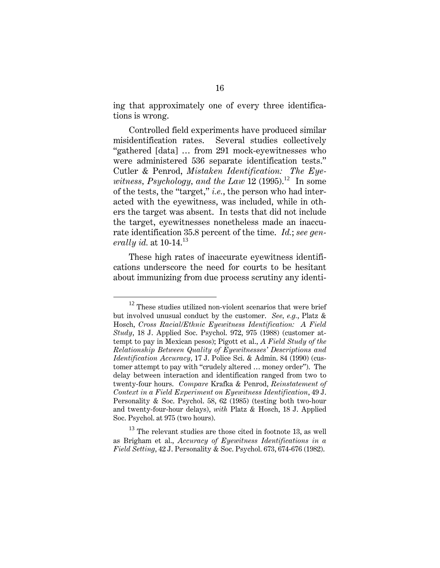ing that approximately one of every three identifications is wrong.

Controlled field experiments have produced similar misidentification rates. Several studies collectively "gathered [data] … from 291 mock-eyewitnesses who were administered 536 separate identification tests." Cutler & Penrod, *Mistaken Identification: The Eyewitness, Psychology, and the Law* 12 (1995).<sup>12</sup> In some of the tests, the "target," *i.e.*, the person who had interacted with the eyewitness, was included, while in others the target was absent. In tests that did not include the target, eyewitnesses nonetheless made an inaccurate identification 35.8 percent of the time. *Id.*; *see generally id.* at 10-14.<sup>13</sup>

These high rates of inaccurate eyewitness identifications underscore the need for courts to be hesitant about immunizing from due process scrutiny any identi-

 $12$  These studies utilized non-violent scenarios that were brief but involved unusual conduct by the customer. *See, e.g.*, Platz & Hosch, *Cross Racial/Ethnic Eyewitness Identification: A Field Study*, 18 J. Applied Soc. Psychol. 972, 975 (1988) (customer attempt to pay in Mexican pesos); Pigott et al., *A Field Study of the Relationship Between Quality of Eyewitnesses' Descriptions and Identification Accuracy*, 17 J. Police Sci. & Admin. 84 (1990) (customer attempt to pay with "crudely altered … money order"). The delay between interaction and identification ranged from two to twenty-four hours. *Compare* Krafka & Penrod, *Reinstatement of Context in a Field Experiment on Eyewitness Identification*, 49 J. Personality & Soc. Psychol. 58, 62 (1985) (testing both two-hour and twenty-four-hour delays), *with* Platz & Hosch, 18 J. Applied Soc. Psychol. at 975 (two hours).

 $13$  The relevant studies are those cited in footnote 13, as well as Brigham et al., *Accuracy of Eyewitness Identifications in a Field Setting*, 42 J. Personality & Soc. Psychol. 673, 674-676 (1982).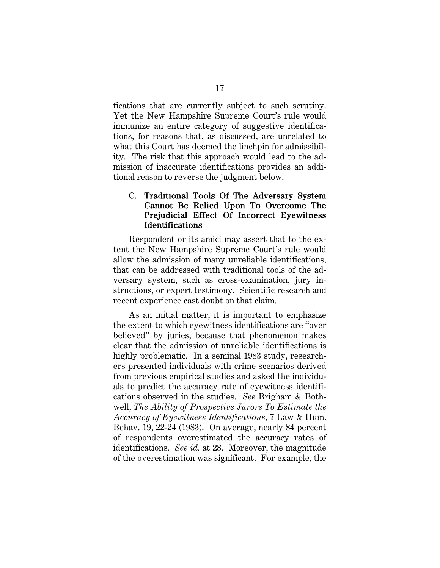fications that are currently subject to such scrutiny. Yet the New Hampshire Supreme Court's rule would immunize an entire category of suggestive identifications, for reasons that, as discussed, are unrelated to what this Court has deemed the linchpin for admissibility. The risk that this approach would lead to the admission of inaccurate identifications provides an additional reason to reverse the judgment below.

#### C. Traditional Tools Of The Adversary System Cannot Be Relied Upon To Overcome The Prejudicial Effect Of Incorrect Eyewitness Identifications

Respondent or its amici may assert that to the extent the New Hampshire Supreme Court's rule would allow the admission of many unreliable identifications, that can be addressed with traditional tools of the adversary system, such as cross-examination, jury instructions, or expert testimony. Scientific research and recent experience cast doubt on that claim.

As an initial matter, it is important to emphasize the extent to which eyewitness identifications are "over believed" by juries, because that phenomenon makes clear that the admission of unreliable identifications is highly problematic. In a seminal 1983 study, researchers presented individuals with crime scenarios derived from previous empirical studies and asked the individuals to predict the accuracy rate of eyewitness identifications observed in the studies. *See* Brigham & Bothwell, *The Ability of Prospective Jurors To Estimate the Accuracy of Eyewitness Identifications*, 7 Law & Hum. Behav. 19, 22-24 (1983). On average, nearly 84 percent of respondents overestimated the accuracy rates of identifications. *See id.* at 28. Moreover, the magnitude of the overestimation was significant. For example, the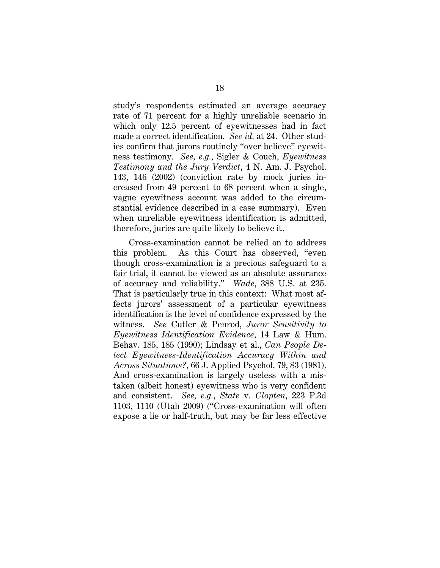study's respondents estimated an average accuracy rate of 71 percent for a highly unreliable scenario in which only 12.5 percent of eyewitnesses had in fact made a correct identification. *See id.* at 24. Other studies confirm that jurors routinely "over believe" eyewitness testimony. *See, e.g.*, Sigler & Couch, *Eyewitness Testimony and the Jury Verdict*, 4 N. Am. J. Psychol. 143, 146 (2002) (conviction rate by mock juries increased from 49 percent to 68 percent when a single, vague eyewitness account was added to the circumstantial evidence described in a case summary). Even when unreliable eyewitness identification is admitted, therefore, juries are quite likely to believe it.

Cross-examination cannot be relied on to address this problem. As this Court has observed, "even though cross-examination is a precious safeguard to a fair trial, it cannot be viewed as an absolute assurance of accuracy and reliability." *Wade*, 388 U.S. at 235. That is particularly true in this context: What most affects jurors' assessment of a particular eyewitness identification is the level of confidence expressed by the witness. *See* Cutler & Penrod, *Juror Sensitivity to Eyewitness Identification Evidence*, 14 Law & Hum. Behav. 185, 185 (1990); Lindsay et al., *Can People Detect Eyewitness-Identification Accuracy Within and Across Situations?*, 66 J. Applied Psychol. 79, 83 (1981). And cross-examination is largely useless with a mistaken (albeit honest) eyewitness who is very confident and consistent. *See, e.g.*, *State* v. *Clopten*, 223 P.3d 1103, 1110 (Utah 2009) ("Cross-examination will often expose a lie or half-truth, but may be far less effective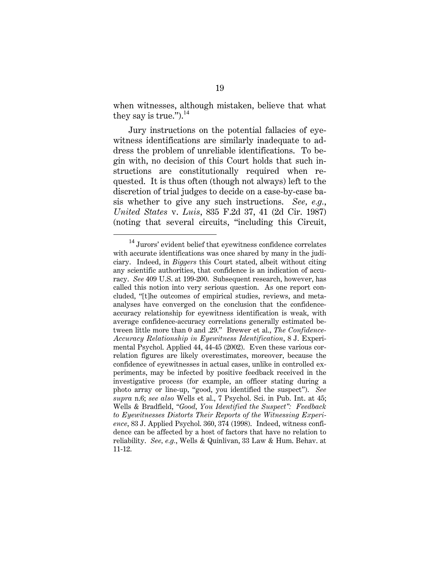when witnesses, although mistaken, believe that what they say is true." $^{14}$ 

Jury instructions on the potential fallacies of eyewitness identifications are similarly inadequate to address the problem of unreliable identifications. To begin with, no decision of this Court holds that such instructions are constitutionally required when requested. It is thus often (though not always) left to the discretion of trial judges to decide on a case-by-case basis whether to give any such instructions. *See, e.g.*, *United States* v. *Luis*, 835 F.2d 37, 41 (2d Cir. 1987) (noting that several circuits, "including this Circuit,

 $14$  Jurors' evident belief that eyewitness confidence correlates with accurate identifications was once shared by many in the judiciary. Indeed, in *Biggers* this Court stated, albeit without citing any scientific authorities, that confidence is an indication of accuracy. *See* 409 U.S. at 199-200. Subsequent research, however, has called this notion into very serious question. As one report concluded, "[t]he outcomes of empirical studies, reviews, and metaanalyses have converged on the conclusion that the confidenceaccuracy relationship for eyewitness identification is weak, with average confidence-accuracy correlations generally estimated between little more than 0 and .29." Brewer et al., *The Confidence-Accuracy Relationship in Eyewitness Identification*, 8 J. Experimental Psychol. Applied 44, 44-45 (2002). Even these various correlation figures are likely overestimates, moreover, because the confidence of eyewitnesses in actual cases, unlike in controlled experiments, may be infected by positive feedback received in the investigative process (for example, an officer stating during a photo array or line-up, "good, you identified the suspect"). *See supra* n.6; *see also* Wells et al., 7 Psychol. Sci. in Pub. Int. at 45; Wells & Bradfield, *"Good, You Identified the Suspect": Feedback to Eyewitnesses Distorts Their Reports of the Witnessing Experience*, 83 J. Applied Psychol. 360, 374 (1998). Indeed, witness confidence can be affected by a host of factors that have no relation to reliability. *See, e.g.*, Wells & Quinlivan, 33 Law & Hum. Behav. at 11-12.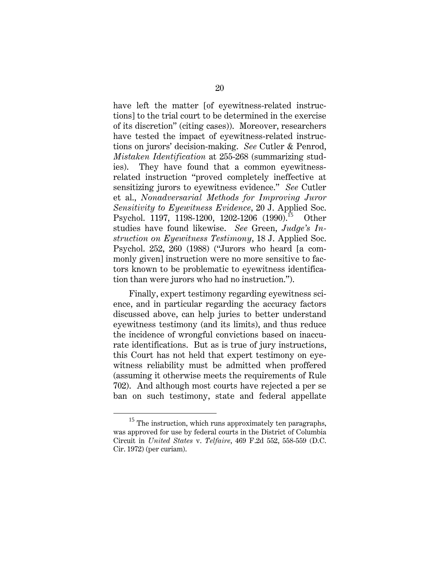have left the matter [of eyewitness-related instructions] to the trial court to be determined in the exercise of its discretion" (citing cases)). Moreover, researchers have tested the impact of eyewitness-related instructions on jurors' decision-making. *See* Cutler & Penrod, *Mistaken Identification* at 255-268 (summarizing studies). They have found that a common eyewitnessrelated instruction "proved completely ineffective at sensitizing jurors to eyewitness evidence." *See* Cutler et al., *Nonadversarial Methods for Improving Juror Sensitivity to Eyewitness Evidence*, 20 J. Applied Soc. Psychol. 1197, 1198-1200, 1202-1206 (1990).<sup>15</sup> Other studies have found likewise. *See* Green, *Judge's Instruction on Eyewitness Testimony*, 18 J. Applied Soc. Psychol. 252, 260 (1988) ("Jurors who heard [a commonly given] instruction were no more sensitive to factors known to be problematic to eyewitness identification than were jurors who had no instruction.").

Finally, expert testimony regarding eyewitness science, and in particular regarding the accuracy factors discussed above, can help juries to better understand eyewitness testimony (and its limits), and thus reduce the incidence of wrongful convictions based on inaccurate identifications. But as is true of jury instructions, this Court has not held that expert testimony on eyewitness reliability must be admitted when proffered (assuming it otherwise meets the requirements of Rule 702). And although most courts have rejected a per se ban on such testimony, state and federal appellate

 $^{15}$  The instruction, which runs approximately ten paragraphs, was approved for use by federal courts in the District of Columbia Circuit in *United States* v. *Telfaire*, 469 F.2d 552, 558-559 (D.C. Cir. 1972) (per curiam).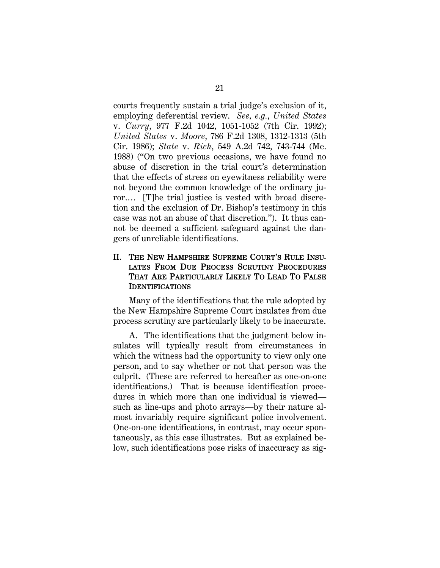courts frequently sustain a trial judge's exclusion of it, employing deferential review. *See, e.g.*, *United States* v. *Curry*, 977 F.2d 1042, 1051-1052 (7th Cir. 1992); *United States* v. *Moore*, 786 F.2d 1308, 1312-1313 (5th Cir. 1986); *State* v. *Rich*, 549 A.2d 742, 743-744 (Me. 1988) ("On two previous occasions, we have found no abuse of discretion in the trial court's determination that the effects of stress on eyewitness reliability were not beyond the common knowledge of the ordinary juror.… [T]he trial justice is vested with broad discretion and the exclusion of Dr. Bishop's testimony in this case was not an abuse of that discretion."). It thus cannot be deemed a sufficient safeguard against the dangers of unreliable identifications.

#### II. THE NEW HAMPSHIRE SUPREME COURT'S RULE INSU-LATES FROM DUE PROCESS SCRUTINY PROCEDURES THAT ARE PARTICULARLY LIKELY TO LEAD TO FALSE IDENTIFICATIONS

Many of the identifications that the rule adopted by the New Hampshire Supreme Court insulates from due process scrutiny are particularly likely to be inaccurate.

A. The identifications that the judgment below insulates will typically result from circumstances in which the witness had the opportunity to view only one person, and to say whether or not that person was the culprit. (These are referred to hereafter as one-on-one identifications.) That is because identification procedures in which more than one individual is viewed such as line-ups and photo arrays—by their nature almost invariably require significant police involvement. One-on-one identifications, in contrast, may occur spontaneously, as this case illustrates. But as explained below, such identifications pose risks of inaccuracy as sig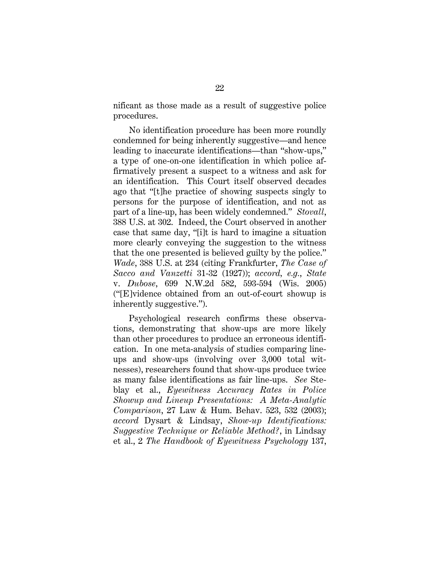nificant as those made as a result of suggestive police procedures.

No identification procedure has been more roundly condemned for being inherently suggestive—and hence leading to inaccurate identifications—than "show-ups," a type of one-on-one identification in which police affirmatively present a suspect to a witness and ask for an identification. This Court itself observed decades ago that "[t]he practice of showing suspects singly to persons for the purpose of identification, and not as part of a line-up, has been widely condemned." *Stovall*, 388 U.S. at 302. Indeed, the Court observed in another case that same day, "[i]t is hard to imagine a situation more clearly conveying the suggestion to the witness that the one presented is believed guilty by the police." *Wade*, 388 U.S. at 234 (citing Frankfurter, *The Case of Sacco and Vanzetti* 31-32 (1927)); *accord, e.g.*, *State*  v. *Dubose*, 699 N.W.2d 582, 593-594 (Wis. 2005) ("[E]vidence obtained from an out-of-court showup is inherently suggestive.").

Psychological research confirms these observations, demonstrating that show-ups are more likely than other procedures to produce an erroneous identification. In one meta-analysis of studies comparing lineups and show-ups (involving over 3,000 total witnesses), researchers found that show-ups produce twice as many false identifications as fair line-ups. *See* Steblay et al., *Eyewitness Accuracy Rates in Police Showup and Lineup Presentations: A Meta-Analytic Comparison*, 27 Law & Hum. Behav. 523, 532 (2003); *accord* Dysart & Lindsay, *Show-up Identifications: Suggestive Technique or Reliable Method?*, in Lindsay et al., 2 *The Handbook of Eyewitness Psychology* 137,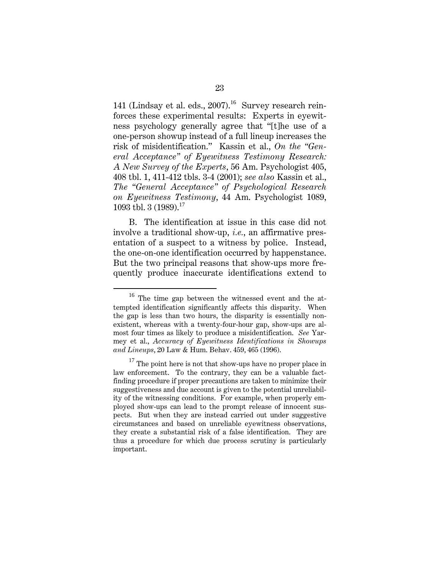141 (Lindsay et al. eds.,  $2007$ ).<sup>16</sup> Survey research reinforces these experimental results: Experts in eyewitness psychology generally agree that "[t]he use of a one-person showup instead of a full lineup increases the risk of misidentification." Kassin et al., *On the "General Acceptance" of Eyewitness Testimony Research: A New Survey of the Experts*, 56 Am. Psychologist 405, 408 tbl. 1, 411-412 tbls. 3-4 (2001); *see also* Kassin et al., *The "General Acceptance" of Psychological Research on Eyewitness Testimony*, 44 Am. Psychologist 1089, 1093 tbl. 3  $(1989).$ <sup>17</sup>

B. The identification at issue in this case did not involve a traditional show-up, *i.e.*, an affirmative presentation of a suspect to a witness by police. Instead, the one-on-one identification occurred by happenstance. But the two principal reasons that show-ups more frequently produce inaccurate identifications extend to

<sup>16</sup> The time gap between the witnessed event and the attempted identification significantly affects this disparity. When the gap is less than two hours, the disparity is essentially nonexistent, whereas with a twenty-four-hour gap, show-ups are almost four times as likely to produce a misidentification. *See* Yarmey et al., *Accuracy of Eyewitness Identifications in Showups and Lineups*, 20 Law & Hum. Behav. 459, 465 (1996).

 $17$  The point here is not that show-ups have no proper place in law enforcement. To the contrary, they can be a valuable factfinding procedure if proper precautions are taken to minimize their suggestiveness and due account is given to the potential unreliability of the witnessing conditions. For example, when properly employed show-ups can lead to the prompt release of innocent suspects. But when they are instead carried out under suggestive circumstances and based on unreliable eyewitness observations, they create a substantial risk of a false identification. They are thus a procedure for which due process scrutiny is particularly important.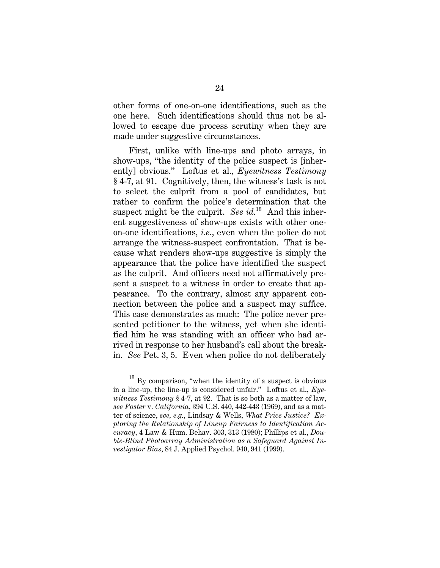other forms of one-on-one identifications, such as the one here. Such identifications should thus not be allowed to escape due process scrutiny when they are made under suggestive circumstances.

First, unlike with line-ups and photo arrays, in show-ups, "the identity of the police suspect is [inherently] obvious." Loftus et al., *Eyewitness Testimony* § 4-7, at 91. Cognitively, then, the witness's task is not to select the culprit from a pool of candidates, but rather to confirm the police's determination that the suspect might be the culprit. *See id.*<sup>18</sup> And this inherent suggestiveness of show-ups exists with other oneon-one identifications, *i.e.*, even when the police do not arrange the witness-suspect confrontation. That is because what renders show-ups suggestive is simply the appearance that the police have identified the suspect as the culprit. And officers need not affirmatively present a suspect to a witness in order to create that appearance. To the contrary, almost any apparent connection between the police and a suspect may suffice. This case demonstrates as much: The police never presented petitioner to the witness, yet when she identified him he was standing with an officer who had arrived in response to her husband's call about the breakin. *See* Pet. 3, 5. Even when police do not deliberately

 $^{18}$  By comparison, "when the identity of a suspect is obvious in a line-up, the line-up is considered unfair." Loftus et al., *Eyewitness Testimony* § 4-7, at 92. That is so both as a matter of law, *see Foster* v. *California*, 394 U.S. 440, 442-443 (1969), and as a matter of science, *see, e.g.*, Lindsay & Wells, *What Price Justice? Exploring the Relationship of Lineup Fairness to Identification Accuracy*, 4 Law & Hum. Behav. 303, 313 (1980); Phillips et al., *Double-Blind Photoarray Administration as a Safeguard Against Investigator Bias*, 84 J. Applied Psychol. 940, 941 (1999).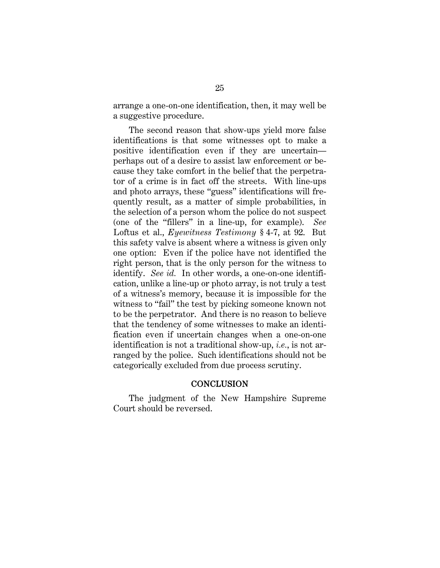arrange a one-on-one identification, then, it may well be a suggestive procedure.

The second reason that show-ups yield more false identifications is that some witnesses opt to make a positive identification even if they are uncertain perhaps out of a desire to assist law enforcement or because they take comfort in the belief that the perpetrator of a crime is in fact off the streets. With line-ups and photo arrays, these "guess" identifications will frequently result, as a matter of simple probabilities, in the selection of a person whom the police do not suspect (one of the "fillers" in a line-up, for example). *See* Loftus et al., *Eyewitness Testimony* § 4-7, at 92. But this safety valve is absent where a witness is given only one option: Even if the police have not identified the right person, that is the only person for the witness to identify. *See id.* In other words, a one-on-one identification, unlike a line-up or photo array, is not truly a test of a witness's memory, because it is impossible for the witness to "fail" the test by picking someone known not to be the perpetrator. And there is no reason to believe that the tendency of some witnesses to make an identification even if uncertain changes when a one-on-one identification is not a traditional show-up, *i.e.*, is not arranged by the police. Such identifications should not be categorically excluded from due process scrutiny.

#### **CONCLUSION**

The judgment of the New Hampshire Supreme Court should be reversed.